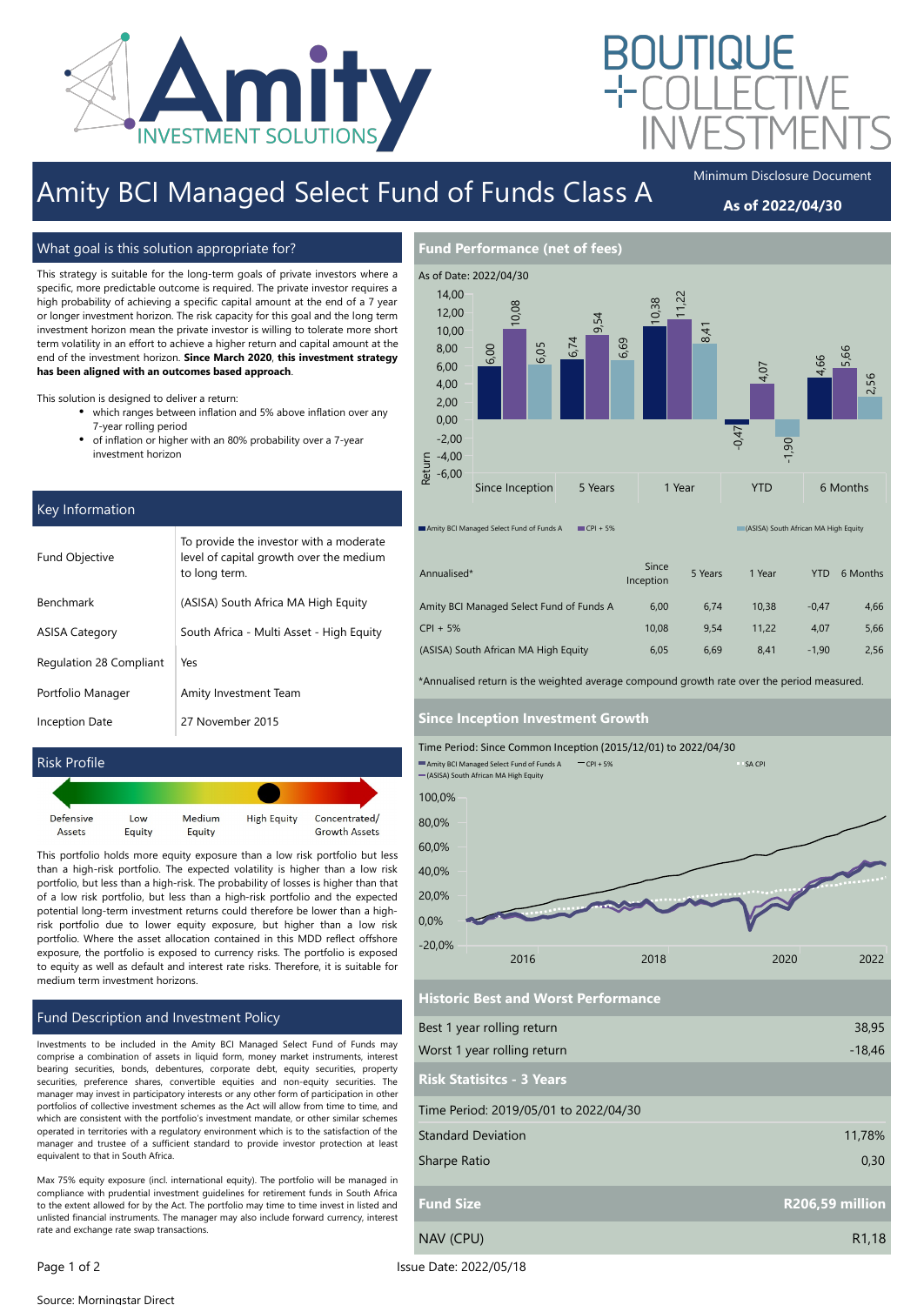

# Amity BCI Managed Select Fund of Funds Class A

Minimum Disclosure Document

## As of 2022/04/30

### What goal is this solution appropriate for?

This strategy is suitable for the long-term goals of private investors where a specific, more predictable outcome is required. The private investor requires a high probability of achieving a specific capital amount at the end of a 7 year or longer investment horizon. The risk capacity for this goal and the long term investment horizon mean the private investor is willing to tolerate more short term volatility in an effort to achieve a higher return and capital amount at the end of the investment horizon. Since March 2020, this investment strategy has been aligned with an outcomes based approach.

This solution is designed to deliver a return:

- which ranges between inflation and 5% above inflation over any 7-year rolling period
- $\bullet$ of inflation or higher with an 80% probability over a 7-year investment horizon

### Key Information

| <b>Fund Objective</b>   | To provide the investor with a moderate<br>level of capital growth over the medium<br>to long term. |
|-------------------------|-----------------------------------------------------------------------------------------------------|
| <b>Benchmark</b>        | (ASISA) South Africa MA High Equity                                                                 |
| ASISA Category          | South Africa - Multi Asset - High Equity                                                            |
| Regulation 28 Compliant | Yes                                                                                                 |
| Portfolio Manager       | Amity Investment Team                                                                               |
| Inception Date          | 27 November 2015                                                                                    |



This portfolio holds more equity exposure than a low risk portfolio but less than a high-risk portfolio. The expected volatility is higher than a low risk portfolio, but less than a high-risk. The probability of losses is higher than that of a low risk portfolio, but less than a high-risk portfolio and the expected potential long-term investment returns could therefore be lower than a highrisk portfolio due to lower equity exposure, but higher than a low risk portfolio. Where the asset allocation contained in this MDD reflect offshore exposure, the portfolio is exposed to currency risks. The portfolio is exposed to equity as well as default and interest rate risks. Therefore, it is suitable for medium term investment horizons.

### Fund Description and Investment Policy

Investments to be included in the Amity BCI Managed Select Fund of Funds may comprise a combination of assets in liquid form, money market instruments, interest bearing securities, bonds, debentures, corporate debt, equity securities, property securities, preference shares, convertible equities and non-equity securities. The manager may invest in participatory interests or any other form of participation in other portfolios of collective investment schemes as the Act will allow from time to time, and which are consistent with the portfolio's investment mandate, or other similar schemes operated in territories with a regulatory environment which is to the satisfaction of the manager and trustee of a sufficient standard to provide investor protection at least equivalent to that in South Africa.

Max 75% equity exposure (incl. international equity). The portfolio will be managed in compliance with prudential investment guidelines for retirement funds in South Africa to the extent allowed for by the Act. The portfolio may time to time invest in listed and unlisted financial instruments. The manager may also include forward currency, interest rate and exchange rate swap transactions.



| Annualised*                              | Since<br>Inception | 5 Years | 1 Year | <b>YTD</b> | 6 Months |
|------------------------------------------|--------------------|---------|--------|------------|----------|
| Amity BCI Managed Select Fund of Funds A | 6,00               | 6.74    | 10.38  | $-0.47$    | 4,66     |
| $CPI + 5%$                               | 10.08              | 9.54    | 11.22  | 4.07       | 5,66     |
| (ASISA) South African MA High Equity     | 6,05               | 6.69    | 8.41   | $-1.90$    | 2,56     |

\*Annualised return is the weighted average compound growth rate over the period measured.

#### Since Inception Investment Growth



Best 1 year rolling return Worst 1 year rolling return 38,95 -18,46 Risk Statisitcs - 3 Years Historic Best and Worst Performance Time Period: 2019/05/01 to 2022/04/30 Standard Deviation Sharpe Ratio 11,78% 0,30 Fund Size R206,59 million NAV (CPU) R1,18

Page 1 of 2 Issue Date: 2022/05/18